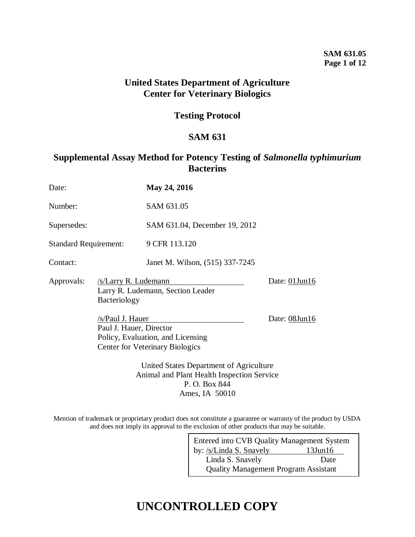### **SAM 631.05 Page 1 of 12**

## **United States Department of Agriculture Center for Veterinary Biologics**

## **Testing Protocol**

## **SAM 631**

## **Supplemental Assay Method for Potency Testing of** *Salmonella typhimurium* **Bacterins**

| Date:                        |                                                                                                                            | May 24, 2016                      |               |  |  |  |
|------------------------------|----------------------------------------------------------------------------------------------------------------------------|-----------------------------------|---------------|--|--|--|
| Number:                      |                                                                                                                            | SAM 631.05                        |               |  |  |  |
| Supersedes:                  |                                                                                                                            | SAM 631.04, December 19, 2012     |               |  |  |  |
| <b>Standard Requirement:</b> |                                                                                                                            | 9 CFR 113.120                     |               |  |  |  |
| Contact:                     |                                                                                                                            | Janet M. Wilson, (515) 337-7245   |               |  |  |  |
| Approvals:                   | /s/Larry R. Ludemann<br>Bacteriology                                                                                       | Larry R. Ludemann, Section Leader | Date: 01Jun16 |  |  |  |
|                              | /s/Paul J. Hauer<br>Paul J. Hauer, Director<br>Policy, Evaluation, and Licensing<br><b>Center for Veterinary Biologics</b> | Date: 08Jun16                     |               |  |  |  |
|                              | United States Department of Agriculture<br>Animal and Plant Health Inspection Service<br>P. O. Box 844                     |                                   |               |  |  |  |

Ames, IA 50010

Mention of trademark or proprietary product does not constitute a guarantee or warranty of the product by USDA and does not imply its approval to the exclusion of other products that may be suitable.

| Entered into CVB Quality Management System  |               |  |  |  |  |
|---------------------------------------------|---------------|--|--|--|--|
| by: /s/Linda S. Snavely                     | $13$ Jun $16$ |  |  |  |  |
| Linda S. Snavely                            | Date          |  |  |  |  |
| <b>Quality Management Program Assistant</b> |               |  |  |  |  |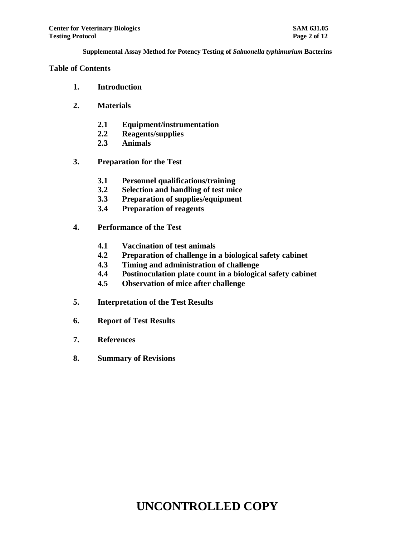#### **Table of Contents**

- **1. Introduction**
- **2. Materials**
	- **2.1 Equipment/instrumentation**
	- **2.2 Reagents/supplies**
	- **2.3 Animals**
- **3. Preparation for the Test**
	- **3.1 Personnel qualifications/training**
	- **3.2 Selection and handling of test mice**
	- **3.3 Preparation of supplies/equipment**
	- **3.4 Preparation of reagents**
- **4. Performance of the Test**
	- **4.1 Vaccination of test animals**
	- **4.2 Preparation of challenge in a biological safety cabinet**
	- **4.3 Timing and administration of challenge**
	- **4.4 Postinoculation plate count in a biological safety cabinet**
	- **4.5 Observation of mice after challenge**
- **5. Interpretation of the Test Results**
- **6. Report of Test Results**
- **7. References**
- **8. Summary of Revisions**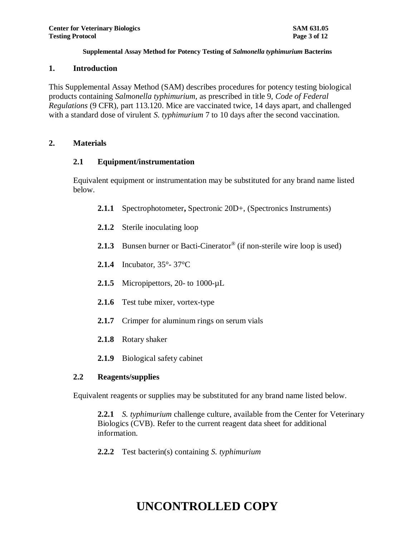#### **1. Introduction**

This Supplemental Assay Method (SAM) describes procedures for potency testing biological products containing *Salmonella typhimurium*, as prescribed in title 9, *Code of Federal Regulations* (9 CFR), part 113.120. Mice are vaccinated twice, 14 days apart, and challenged with a standard dose of virulent *S. typhimurium* 7 to 10 days after the second vaccination.

### **2. Materials**

### **2.1 Equipment/instrumentation**

Equivalent equipment or instrumentation may be substituted for any brand name listed below.

- **2.1.1** Spectrophotometer**,** Spectronic 20D+, (Spectronics Instruments)
- **2.1.2** Sterile inoculating loop
- 2.1.3 Bunsen burner or Bacti-Cinerator<sup>®</sup> (if non-sterile wire loop is used)
- **2.1.4** Incubator, 35°- 37°C
- 2.1.5 Micropipettors, 20- to 1000-µL
- **2.1.6** Test tube mixer, vortex-type
- **2.1.7** Crimper for aluminum rings on serum vials
- **2.1.8** Rotary shaker
- **2.1.9** Biological safety cabinet

### **2.2 Reagents/supplies**

Equivalent reagents or supplies may be substituted for any brand name listed below.

**2.2.1** *S. typhimurium* challenge culture, available from the Center for Veterinary Biologics (CVB). Refer to the current reagent data sheet for additional information.

**2.2.2** Test bacterin(s) containing *S. typhimurium*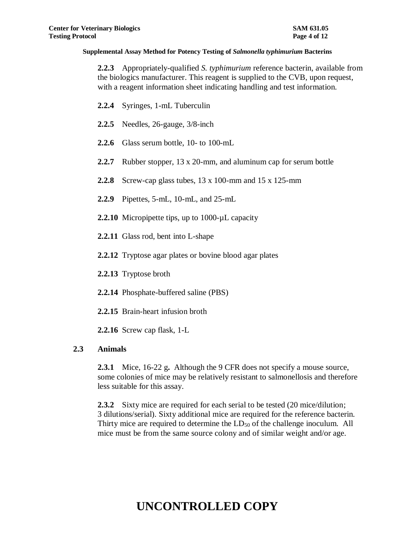**2.2.3** Appropriately-qualified *S. typhimurium* reference bacterin, available from the biologics manufacturer. This reagent is supplied to the CVB, upon request, with a reagent information sheet indicating handling and test information.

- **2.2.4** Syringes, 1-mL Tuberculin
- **2.2.5** Needles, 26-gauge, 3/8-inch
- **2.2.6** Glass serum bottle, 10- to 100-mL
- **2.2.7** Rubber stopper, 13 x 20-mm, and aluminum cap for serum bottle
- **2.2.8** Screw-cap glass tubes, 13 x 100-mm and 15 x 125-mm
- **2.2.9** Pipettes, 5-mL, 10-mL, and 25-mL
- **2.2.10** Micropipette tips, up to 1000-uL capacity
- **2.2.11** Glass rod, bent into L-shape
- **2.2.12** Tryptose agar plates or bovine blood agar plates
- **2.2.13** Tryptose broth
- **2.2.14** Phosphate-buffered saline (PBS)
- **2.2.15** Brain-heart infusion broth

**2.2.16** Screw cap flask, 1-L

#### **2.3 Animals**

**2.3.1** Mice, 16-22 g**.** Although the 9 CFR does not specify a mouse source, some colonies of mice may be relatively resistant to salmonellosis and therefore less suitable for this assay.

**2.3.2** Sixty mice are required for each serial to be tested (20 mice/dilution; 3 dilutions/serial). Sixty additional mice are required for the reference bacterin. Thirty mice are required to determine the  $LD_{50}$  of the challenge inoculum. All mice must be from the same source colony and of similar weight and/or age.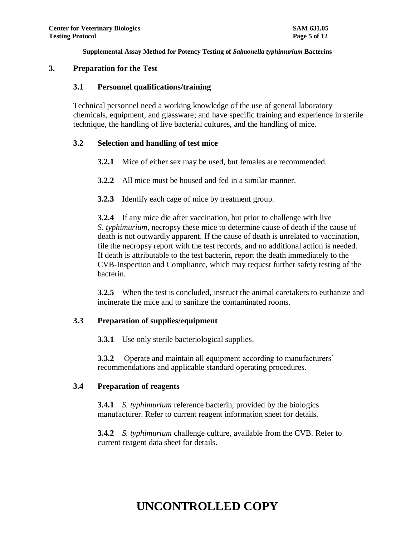#### **3. Preparation for the Test**

#### **3.1 Personnel qualifications/training**

Technical personnel need a working knowledge of the use of general laboratory chemicals, equipment, and glassware; and have specific training and experience in sterile technique, the handling of live bacterial cultures, and the handling of mice.

### **3.2 Selection and handling of test mice**

- **3.2.1** Mice of either sex may be used, but females are recommended.
- **3.2.2** All mice must be housed and fed in a similar manner.
- **3.2.3** Identify each cage of mice by treatment group.

**3.2.4** If any mice die after vaccination, but prior to challenge with live *S. typhimurium*, necropsy these mice to determine cause of death if the cause of death is not outwardly apparent. If the cause of death is unrelated to vaccination, file the necropsy report with the test records, and no additional action is needed. If death is attributable to the test bacterin, report the death immediately to the CVB-Inspection and Compliance, which may request further safety testing of the bacterin.

**3.2.5** When the test is concluded, instruct the animal caretakers to euthanize and incinerate the mice and to sanitize the contaminated rooms.

### **3.3 Preparation of supplies/equipment**

**3.3.1** Use only sterile bacteriological supplies.

**3.3.2** Operate and maintain all equipment according to manufacturers' recommendations and applicable standard operating procedures.

### **3.4 Preparation of reagents**

**3.4.1** *S. typhimurium* reference bacterin, provided by the biologics manufacturer. Refer to current reagent information sheet for details.

**3.4.2** *S. typhimurium* challenge culture, available from the CVB. Refer to current reagent data sheet for details.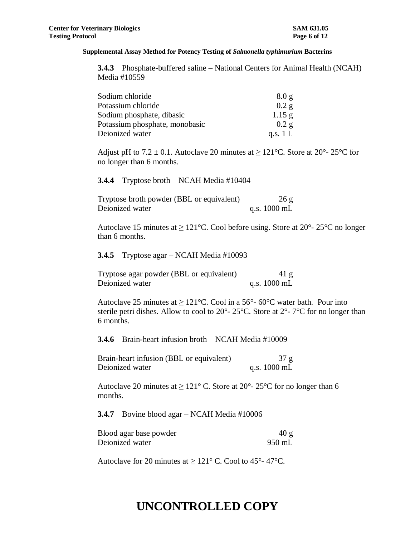**3.4.3** Phosphate-buffered saline – National Centers for Animal Health (NCAH) Media #10559

| Sodium chloride                | 8.0 g      |
|--------------------------------|------------|
| Potassium chloride             | 0.2 g      |
| Sodium phosphate, dibasic      | $1.15$ g   |
| Potassium phosphate, monobasic | 0.2 g      |
| Deionized water                | q.s. $1 L$ |

Adjust pH to  $7.2 \pm 0.1$ . Autoclave 20 minutes at  $\geq 121^{\circ}$ C. Store at  $20^{\circ}$ -  $25^{\circ}$ C for no longer than 6 months.

#### **3.4.4** Tryptose broth – NCAH Media #10404

| Tryptose broth powder (BBL or equivalent) | 26 g                   |
|-------------------------------------------|------------------------|
| Deionized water                           | q.s. $1000 \text{ mL}$ |

Autoclave 15 minutes at  $\geq 121^{\circ}$ C. Cool before using. Store at 20°-25°C no longer than 6 months.

**3.4.5** Tryptose agar – NCAH Media #10093

| Tryptose agar powder (BBL or equivalent) | 41 g                   |
|------------------------------------------|------------------------|
| Deionized water                          | q.s. $1000 \text{ mL}$ |

Autoclave 25 minutes at  $\geq 121^{\circ}$ C. Cool in a 56°-60°C water bath. Pour into sterile petri dishes. Allow to cool to  $20^{\circ}$ -  $25^{\circ}$ C. Store at  $2^{\circ}$ -  $7^{\circ}$ C for no longer than 6 months.

**3.4.6** Brain-heart infusion broth – NCAH Media #10009

Brain-heart infusion (BBL or equivalent) 37 g Deionized water q.s. 1000 mL

Autoclave 20 minutes at  $\geq 121^{\circ}$  C. Store at 20°-25°C for no longer than 6 months.

**3.4.7** Bovine blood agar – NCAH Media #10006

| Blood agar base powder | 40g    |
|------------------------|--------|
| Deionized water        | 950 mL |

Autoclave for 20 minutes at  $\geq 121^{\circ}$  C. Cool to 45°-47°C.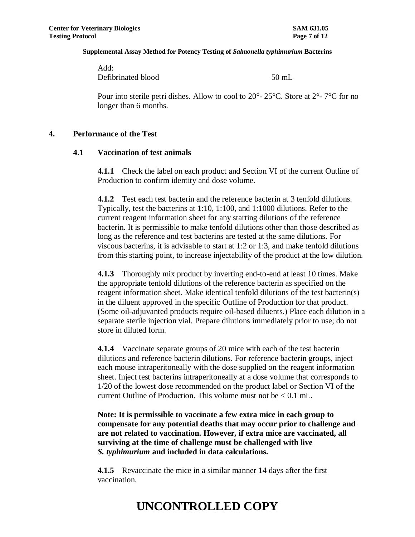Add: Defibrinated blood 50 mL

Pour into sterile petri dishes. Allow to cool to  $20^{\circ}$ -  $25^{\circ}$ C. Store at  $2^{\circ}$ -  $7^{\circ}$ C for no longer than 6 months.

#### **4. Performance of the Test**

#### **4.1 Vaccination of test animals**

**4.1.1** Check the label on each product and Section VI of the current Outline of Production to confirm identity and dose volume.

**4.1.2** Test each test bacterin and the reference bacterin at 3 tenfold dilutions. Typically, test the bacterins at 1:10, 1:100, and 1:1000 dilutions. Refer to the current reagent information sheet for any starting dilutions of the reference bacterin. It is permissible to make tenfold dilutions other than those described as long as the reference and test bacterins are tested at the same dilutions. For viscous bacterins, it is advisable to start at 1:2 or 1:3, and make tenfold dilutions from this starting point, to increase injectability of the product at the low dilution.

**4.1.3** Thoroughly mix product by inverting end-to-end at least 10 times. Make the appropriate tenfold dilutions of the reference bacterin as specified on the reagent information sheet. Make identical tenfold dilutions of the test bacterin(s) in the diluent approved in the specific Outline of Production for that product. (Some oil-adjuvanted products require oil-based diluents.) Place each dilution in a separate sterile injection vial. Prepare dilutions immediately prior to use; do not store in diluted form.

**4.1.4** Vaccinate separate groups of 20 mice with each of the test bacterin dilutions and reference bacterin dilutions. For reference bacterin groups, inject each mouse intraperitoneally with the dose supplied on the reagent information sheet. Inject test bacterins intraperitoneally at a dose volume that corresponds to 1/20 of the lowest dose recommended on the product label or Section VI of the current Outline of Production. This volume must not be  $\leq 0.1$  mL.

**Note: It is permissible to vaccinate a few extra mice in each group to compensate for any potential deaths that may occur prior to challenge and are not related to vaccination. However, if extra mice are vaccinated, all surviving at the time of challenge must be challenged with live**  *S. typhimurium* **and included in data calculations.**

**4.1.5** Revaccinate the mice in a similar manner 14 days after the first vaccination.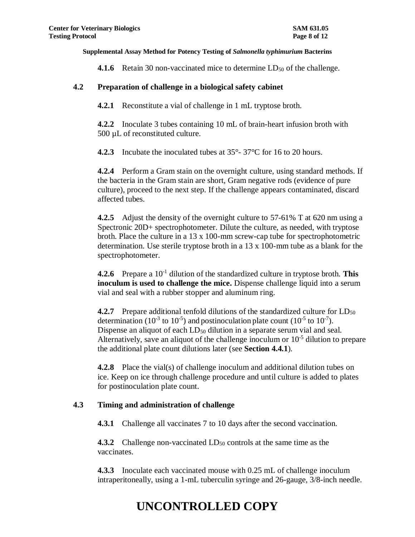**4.1.6** Retain 30 non-vaccinated mice to determine  $LD_{50}$  of the challenge.

### **4.2 Preparation of challenge in a biological safety cabinet**

**4.2.1** Reconstitute a vial of challenge in 1 mL tryptose broth.

**4.2.2** Inoculate 3 tubes containing 10 mL of brain-heart infusion broth with 500 µL of reconstituted culture.

**4.2.3** Incubate the inoculated tubes at 35°- 37°C for 16 to 20 hours.

**4.2.4** Perform a Gram stain on the overnight culture, using standard methods. If the bacteria in the Gram stain are short, Gram negative rods (evidence of pure culture), proceed to the next step. If the challenge appears contaminated, discard affected tubes.

**4.2.5** Adjust the density of the overnight culture to 57-61% T at 620 nm using a Spectronic 20D+ spectrophotometer. Dilute the culture, as needed, with tryptose broth. Place the culture in a 13 x 100-mm screw-cap tube for spectrophotometric determination. Use sterile tryptose broth in a 13 x 100-mm tube as a blank for the spectrophotometer.

**4.2.6** Prepare a 10-1 dilution of the standardized culture in tryptose broth. **This inoculum is used to challenge the mice.** Dispense challenge liquid into a serum vial and seal with a rubber stopper and aluminum ring.

**4.2.7** Prepare additional tenfold dilutions of the standardized culture for LD<sub>50</sub> determination (10<sup>-3</sup> to 10<sup>-5</sup>) and postinoculation plate count (10<sup>-5</sup> to 10<sup>-7</sup>). Dispense an aliquot of each  $LD_{50}$  dilution in a separate serum vial and seal. Alternatively, save an aliquot of the challenge inoculum or  $10<sup>-5</sup>$  dilution to prepare the additional plate count dilutions later (see **Section 4.4.1**).

**4.2.8** Place the vial(s) of challenge inoculum and additional dilution tubes on ice. Keep on ice through challenge procedure and until culture is added to plates for postinoculation plate count.

### **4.3 Timing and administration of challenge**

**4.3.1** Challenge all vaccinates 7 to 10 days after the second vaccination.

**4.3.2** Challenge non-vaccinated LD<sub>50</sub> controls at the same time as the vaccinates.

**4.3.3** Inoculate each vaccinated mouse with 0.25 mL of challenge inoculum intraperitoneally, using a 1-mL tuberculin syringe and 26-gauge, 3/8-inch needle.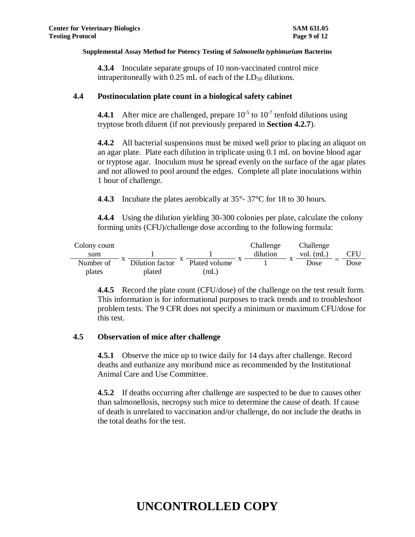**4.3.4** Inoculate separate groups of 10 non-vaccinated control mice intraperitoneally with  $0.25$  mL of each of the  $LD_{50}$  dilutions.

#### **4.4 Postinoculation plate count in a biological safety cabinet**

**4.4.1** After mice are challenged, prepare  $10^{-5}$  to  $10^{-7}$  tenfold dilutions using tryptose broth diluent (if not previously prepared in **Section 4.2.7**).

**4.4.2** All bacterial suspensions must be mixed well prior to placing an aliquot on an agar plate. Plate each dilution in triplicate using 0.1 mL on bovine blood agar or tryptose agar. Inoculum must be spread evenly on the surface of the agar plates and not allowed to pool around the edges. Complete all plate inoculations within 1 hour of challenge.

**4**.**4.3** Incubate the plates aerobically at 35°- 37°C for 18 to 30 hours.

**4.4.4** Using the dilution yielding 30-300 colonies per plate, calculate the colony forming units (CFU)/challenge dose according to the following formula:

| Colony count |                 |               | Challenge |           | Challenge   |      |
|--------------|-----------------|---------------|-----------|-----------|-------------|------|
| sum          |                 |               | dilution  |           | vol. $(mL)$ | CFU  |
| Number of    | Dilution factor | Plated volume |           | $\Lambda$ | Dose        | Dose |
| plates       | plated          | (mL)          |           |           |             |      |

**4.4.5** Record the plate count (CFU/dose) of the challenge on the test result form. This information is for informational purposes to track trends and to troubleshoot problem tests. The 9 CFR does not specify a minimum or maximum CFU/dose for this test.

### **4.5 Observation of mice after challenge**

**4.5.1** Observe the mice up to twice daily for 14 days after challenge. Record deaths and euthanize any moribund mice as recommended by the Institutional Animal Care and Use Committee.

**4.5.2** If deaths occurring after challenge are suspected to be due to causes other than salmonellosis, necropsy such mice to determine the cause of death. If cause of death is unrelated to vaccination and/or challenge, do not include the deaths in the total deaths for the test.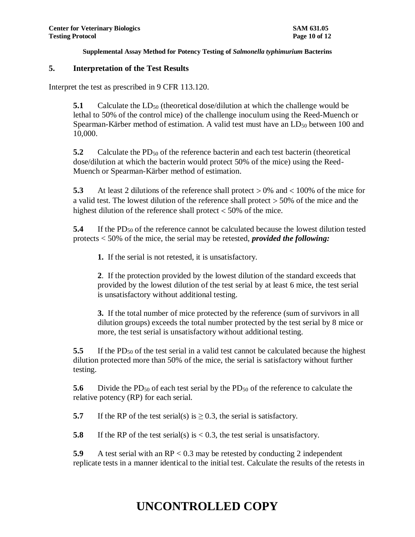#### **5. Interpretation of the Test Results**

Interpret the test as prescribed in 9 CFR 113.120.

**5.1** Calculate the  $LD_{50}$  (theoretical dose/dilution at which the challenge would be lethal to 50% of the control mice) of the challenge inoculum using the Reed-Muench or Spearman-Kärber method of estimation. A valid test must have an  $LD_{50}$  between 100 and 10,000.

**5.2** Calculate the PD<sub>50</sub> of the reference bacterin and each test bacterin (theoretical dose/dilution at which the bacterin would protect 50% of the mice) using the Reed-Muench or Spearman-Kärber method of estimation.

**5.3** At least 2 dilutions of the reference shall protect  $> 0\%$  and  $< 100\%$  of the mice for a valid test. The lowest dilution of the reference shall protect  $>$  50% of the mice and the highest dilution of the reference shall protect  $<$  50% of the mice.

**5.4** If the PD<sub>50</sub> of the reference cannot be calculated because the lowest dilution tested protects < 50% of the mice, the serial may be retested, *provided the following:*

**1.** If the serial is not retested, it is unsatisfactory.

**2**. If the protection provided by the lowest dilution of the standard exceeds that provided by the lowest dilution of the test serial by at least 6 mice, the test serial is unsatisfactory without additional testing.

**3.** If the total number of mice protected by the reference (sum of survivors in all dilution groups) exceeds the total number protected by the test serial by 8 mice or more, the test serial is unsatisfactory without additional testing.

**5.5** If the PD<sub>50</sub> of the test serial in a valid test cannot be calculated because the highest dilution protected more than 50% of the mice, the serial is satisfactory without further testing.

**5.6** Divide the PD<sub>50</sub> of each test serial by the PD<sub>50</sub> of the reference to calculate the relative potency (RP) for each serial.

**5.7** If the RP of the test serial(s) is  $\geq$  0.3, the serial is satisfactory.

**5.8** If the RP of the test serial(s) is  $\lt 0.3$ , the test serial is unsatisfactory.

**5.9** A test serial with an RP < 0.3 may be retested by conducting 2 independent replicate tests in a manner identical to the initial test. Calculate the results of the retests in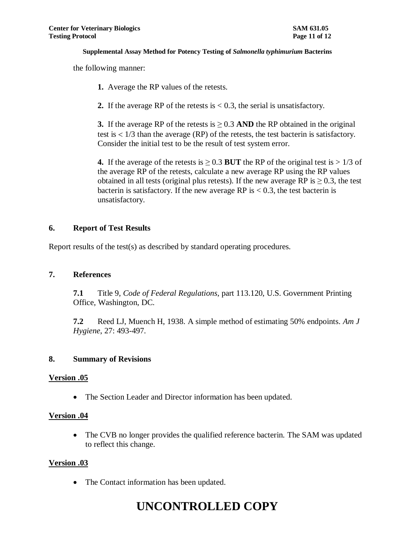the following manner:

- **1.** Average the RP values of the retests.
- **2.** If the average RP of the retests is  $< 0.3$ , the serial is unsatisfactory.

**3.** If the average RP of the retests is  $\geq 0.3$  AND the RP obtained in the original test is  $1/3$  than the average (RP) of the retests, the test bacterin is satisfactory. Consider the initial test to be the result of test system error.

**4.** If the average of the retests is  $\geq 0.3$  BUT the RP of the original test is  $> 1/3$  of the average RP of the retests, calculate a new average RP using the RP values obtained in all tests (original plus retests). If the new average RP is  $\geq$  0.3, the test bacterin is satisfactory. If the new average RP is  $< 0.3$ , the test bacterin is unsatisfactory.

### **6. Report of Test Results**

Report results of the test(s) as described by standard operating procedures.

### **7. References**

**7.1** Title 9, *Code of Federal Regulations*, part 113.120, U.S. Government Printing Office, Washington, DC.

**7.2** Reed LJ, Muench H, 1938. A simple method of estimating 50% endpoints. *Am J Hygiene*, 27: 493-497.

### **8. Summary of Revisions**

### **Version .05**

• The Section Leader and Director information has been updated.

### **Version .04**

• The CVB no longer provides the qualified reference bacterin. The SAM was updated to reflect this change.

### **Version .03**

• The Contact information has been updated.